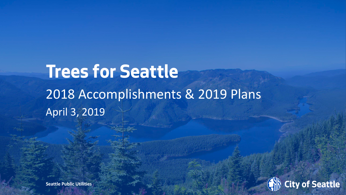# **Trees for Seattle**  2018 Accomplishments & 2019 Plans April 3, 2019

**Seattle Public Utilities** 

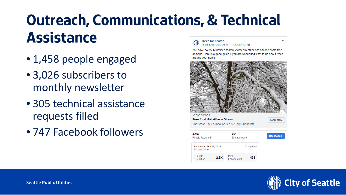#### **Outreach, Communications, & Technical Assistance**  $\cdots$ **Trees for Seattle** Published by Jana Dilley [2] - February 13 - @

- 1,458 people engaged
- 3,026 subscribers to monthly newsletter
- 305 technical assistance requests filled
- 747 Facebook followers

You have no doubt noticed that this winter weather has caused some tree damage. Here is a good quide if you are wondering what to do about trees around your home



The Arbor Day Foundation is a 501(c)(3) nonprofit... 4.469 261 **Boost Again** People Reached Engagements Boosted on Feb 13, 2019 Completed By Jana Dilley People  $2.5K$ 433 Reached Engagement

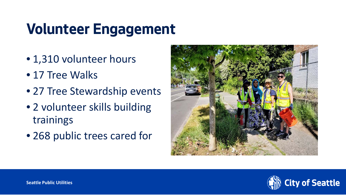## **Volunteer Engagement**

- 1,310 volunteer hours
- 17 Tree Walks
- 27 Tree Stewardship events
- 2 volunteer skills building trainings
- 268 public trees cared for



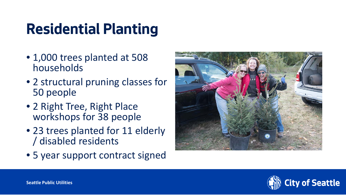## **Residential Planting**

- 1,000 trees planted at 508 households
- 2 structural pruning classes for 50 people
- 2 Right Tree, Right Place workshops for 38 people
- 23 trees planted for 11 elderly / disabled residents
- 5 year support contract signed



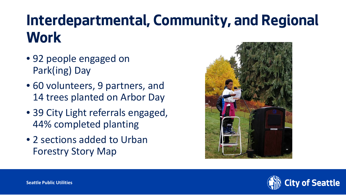#### **Interdepartmental, Community, and Regional Work**

- 92 people engaged on Park(ing) Day
- 60 volunteers, 9 partners, and 14 trees planted on Arbor Day
- 39 City Light referrals engaged, 44% completed planting
- 2 sections added to Urban Forestry Story Map



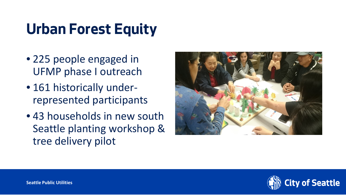## **Urban Forest Equity**

- 225 people engaged in UFMP phase I outreach
- 161 historically underrepresented participants
- 43 households in new south Seattle planting workshop & tree delivery pilot